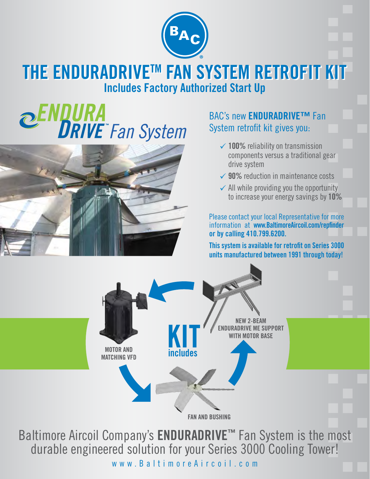

## **THE ENDURADRIVETM FAN SYSTEM RETROFIT KIT THE ENDURADRIVETM FAN SYSTEM RETROFIT KIT Includes Factory Authorized Start Up**

# **DRIVE** Fan System



#### BAC's new **ENDURADRIVE™** Fan System retrofit kit gives you:

- **√ 100%** reliability on transmission components versus a traditional gear drive system
- **√ 90%** reduction in maintenance costs
- $\checkmark$  All while providing you the opportunity to increase your energy savings by **10%**

Please contact your local Representative for more information at **www.BaltimoreAircoil.com/repfinder or by calling 410.799.6200.**

**This system is available for retrofit on Series 3000 units manufactured between 1991 through today!**



Baltimore Aircoil Company's **ENDURADRIVE™** Fan System is the most durable engineered solution for your Series 3000 Cooling Tower! www.BaltimoreAircoil.com